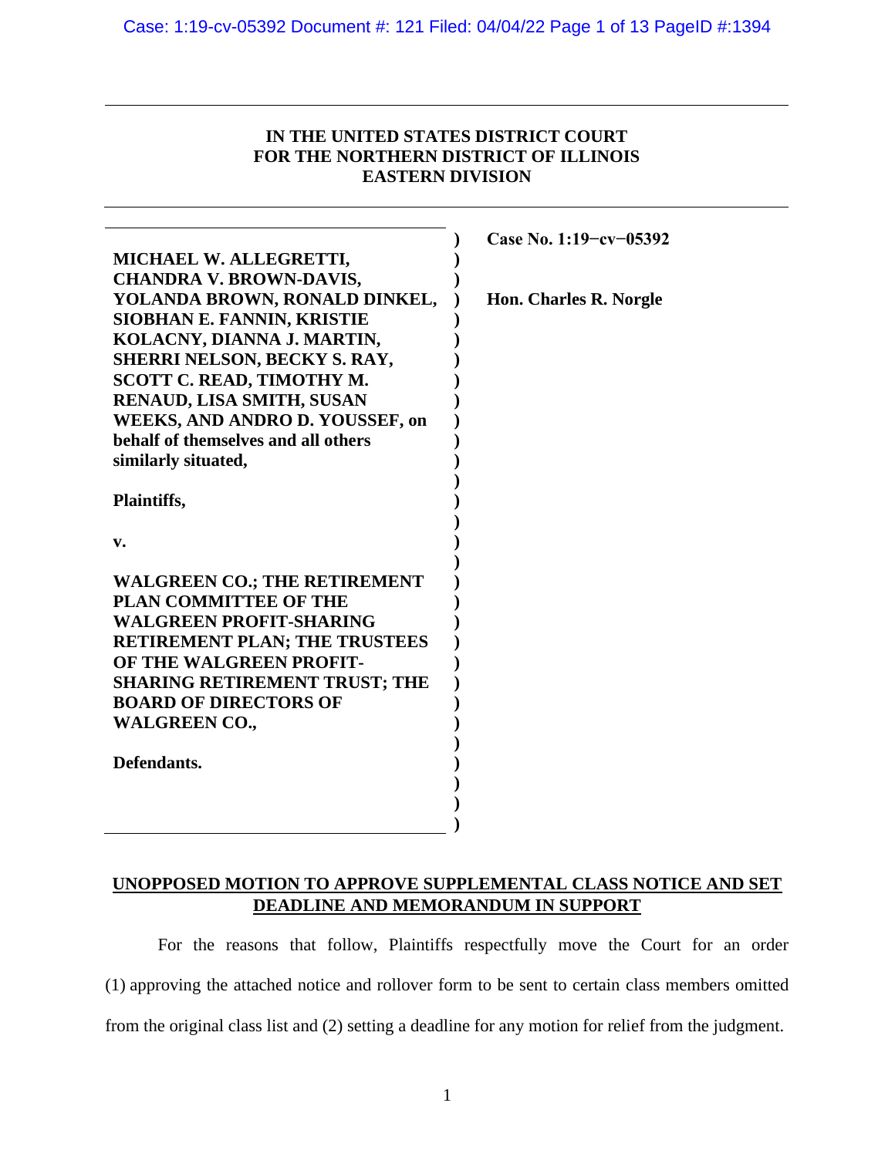## **IN THE UNITED STATES DISTRICT COURT FOR THE NORTHERN DISTRICT OF ILLINOIS EASTERN DIVISION**

|                                      | Case No. 1:19-cv-05392 |
|--------------------------------------|------------------------|
| MICHAEL W. ALLEGRETTI,               |                        |
| <b>CHANDRA V. BROWN-DAVIS,</b>       |                        |
| YOLANDA BROWN, RONALD DINKEL,        | Hon. Charles R. Norgle |
| <b>SIOBHAN E. FANNIN, KRISTIE</b>    |                        |
| KOLACNY, DIANNA J. MARTIN,           |                        |
| <b>SHERRI NELSON, BECKY S. RAY,</b>  |                        |
| SCOTT C. READ, TIMOTHY M.            |                        |
| RENAUD, LISA SMITH, SUSAN            |                        |
| WEEKS, AND ANDRO D. YOUSSEF, on      |                        |
| behalf of themselves and all others  |                        |
| similarly situated,                  |                        |
|                                      |                        |
| Plaintiffs,                          |                        |
|                                      |                        |
| v.                                   |                        |
|                                      |                        |
| <b>WALGREEN CO.; THE RETIREMENT</b>  |                        |
| <b>PLAN COMMITTEE OF THE</b>         |                        |
| <b>WALGREEN PROFIT-SHARING</b>       |                        |
| RETIREMENT PLAN; THE TRUSTEES        |                        |
| OF THE WALGREEN PROFIT-              |                        |
| <b>SHARING RETIREMENT TRUST; THE</b> |                        |
| <b>BOARD OF DIRECTORS OF</b>         |                        |
| <b>WALGREEN CO.,</b>                 |                        |
| Defendants.                          |                        |
|                                      |                        |
|                                      |                        |
|                                      |                        |
|                                      |                        |

## **UNOPPOSED MOTION TO APPROVE SUPPLEMENTAL CLASS NOTICE AND SET DEADLINE AND MEMORANDUM IN SUPPORT**

For the reasons that follow, Plaintiffs respectfully move the Court for an order (1) approving the attached notice and rollover form to be sent to certain class members omitted from the original class list and (2) setting a deadline for any motion for relief from the judgment.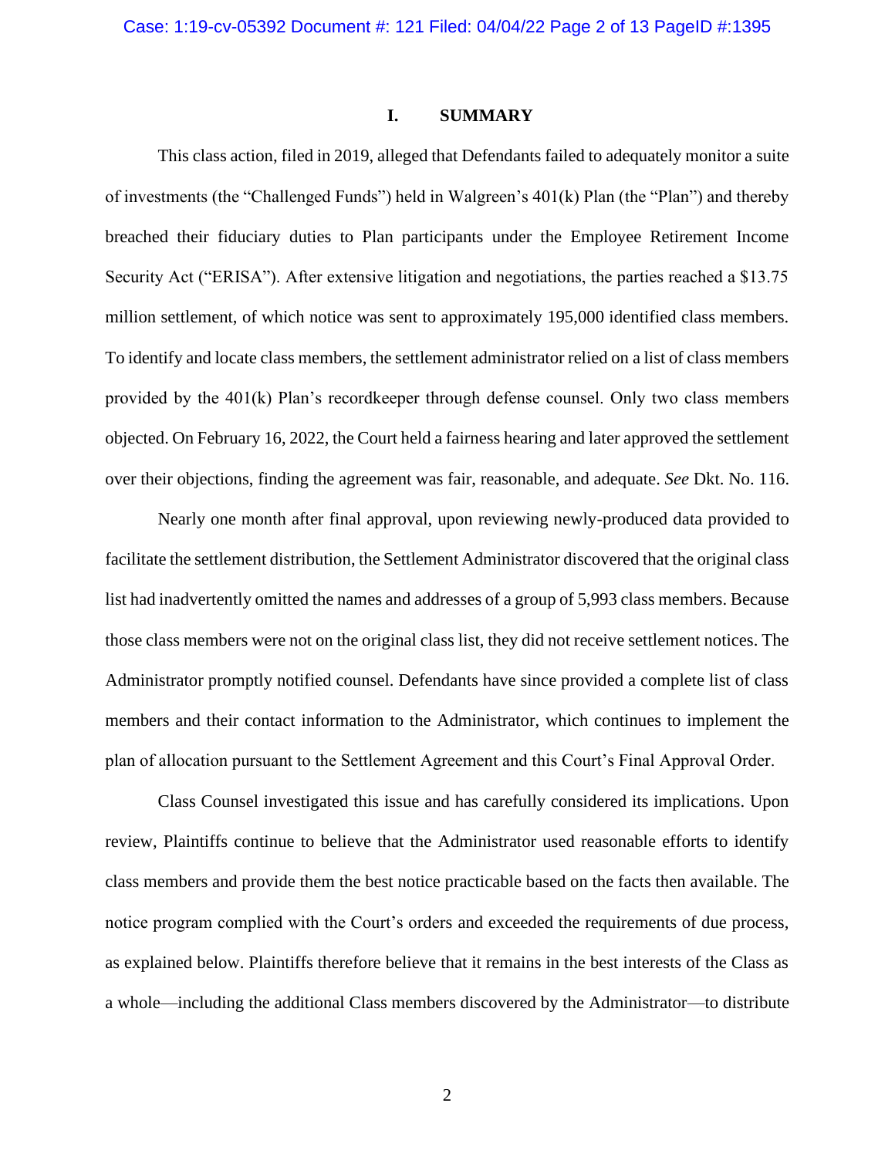## **I. SUMMARY**

This class action, filed in 2019, alleged that Defendants failed to adequately monitor a suite of investments (the "Challenged Funds") held in Walgreen's 401(k) Plan (the "Plan") and thereby breached their fiduciary duties to Plan participants under the Employee Retirement Income Security Act ("ERISA"). After extensive litigation and negotiations, the parties reached a \$13.75 million settlement, of which notice was sent to approximately 195,000 identified class members. To identify and locate class members, the settlement administrator relied on a list of class members provided by the 401(k) Plan's recordkeeper through defense counsel. Only two class members objected. On February 16, 2022, the Court held a fairness hearing and later approved the settlement over their objections, finding the agreement was fair, reasonable, and adequate. *See* Dkt. No. 116.

Nearly one month after final approval, upon reviewing newly-produced data provided to facilitate the settlement distribution, the Settlement Administrator discovered that the original class list had inadvertently omitted the names and addresses of a group of 5,993 class members. Because those class members were not on the original class list, they did not receive settlement notices. The Administrator promptly notified counsel. Defendants have since provided a complete list of class members and their contact information to the Administrator, which continues to implement the plan of allocation pursuant to the Settlement Agreement and this Court's Final Approval Order.

Class Counsel investigated this issue and has carefully considered its implications. Upon review, Plaintiffs continue to believe that the Administrator used reasonable efforts to identify class members and provide them the best notice practicable based on the facts then available. The notice program complied with the Court's orders and exceeded the requirements of due process, as explained below. Plaintiffs therefore believe that it remains in the best interests of the Class as a whole—including the additional Class members discovered by the Administrator—to distribute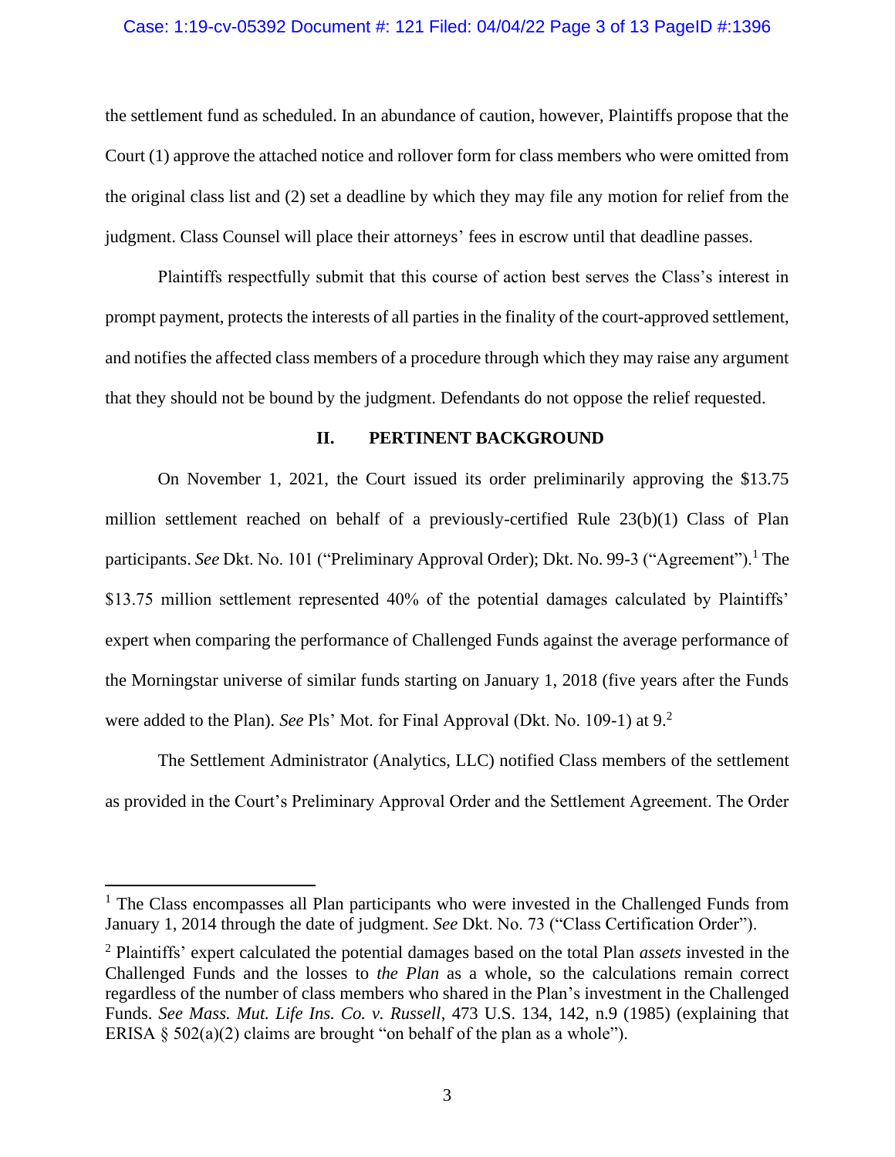### Case: 1:19-cv-05392 Document #: 121 Filed: 04/04/22 Page 3 of 13 PageID #:1396

the settlement fund as scheduled. In an abundance of caution, however, Plaintiffs propose that the Court (1) approve the attached notice and rollover form for class members who were omitted from the original class list and (2) set a deadline by which they may file any motion for relief from the judgment. Class Counsel will place their attorneys' fees in escrow until that deadline passes.

Plaintiffs respectfully submit that this course of action best serves the Class's interest in prompt payment, protects the interests of all parties in the finality of the court-approved settlement, and notifies the affected class members of a procedure through which they may raise any argument that they should not be bound by the judgment. Defendants do not oppose the relief requested.

### **II. PERTINENT BACKGROUND**

On November 1, 2021, the Court issued its order preliminarily approving the \$13.75 million settlement reached on behalf of a previously-certified Rule 23(b)(1) Class of Plan participants. *See* Dkt. No. 101 ("Preliminary Approval Order); Dkt. No. 99-3 ("Agreement").<sup>1</sup> The \$13.75 million settlement represented 40% of the potential damages calculated by Plaintiffs' expert when comparing the performance of Challenged Funds against the average performance of the Morningstar universe of similar funds starting on January 1, 2018 (five years after the Funds were added to the Plan). *See* Pls' Mot. for Final Approval (Dkt. No. 109-1) at 9.<sup>2</sup>

The Settlement Administrator (Analytics, LLC) notified Class members of the settlement as provided in the Court's Preliminary Approval Order and the Settlement Agreement. The Order

 $<sup>1</sup>$  The Class encompasses all Plan participants who were invested in the Challenged Funds from</sup> January 1, 2014 through the date of judgment. *See* Dkt. No. 73 ("Class Certification Order").

<sup>2</sup> Plaintiffs' expert calculated the potential damages based on the total Plan *assets* invested in the Challenged Funds and the losses to *the Plan* as a whole, so the calculations remain correct regardless of the number of class members who shared in the Plan's investment in the Challenged Funds. *See Mass. Mut. Life Ins. Co. v. Russell*, 473 U.S. 134, 142, n.9 (1985) (explaining that ERISA  $\S$  502(a)(2) claims are brought "on behalf of the plan as a whole").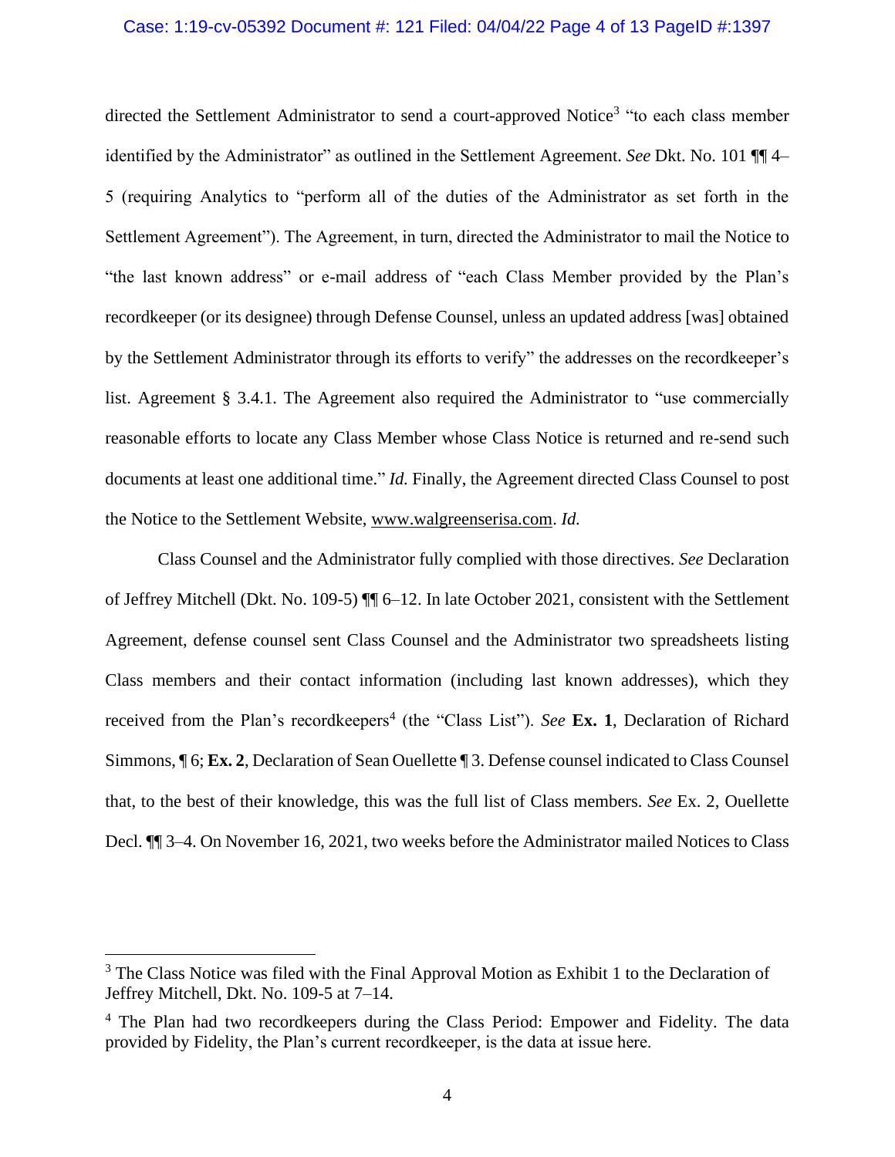### Case: 1:19-cv-05392 Document #: 121 Filed: 04/04/22 Page 4 of 13 PageID #:1397

directed the Settlement Administrator to send a court-approved Notice<sup>3</sup> "to each class member identified by the Administrator" as outlined in the Settlement Agreement. *See* Dkt. No. 101 ¶¶ 4– 5 (requiring Analytics to "perform all of the duties of the Administrator as set forth in the Settlement Agreement"). The Agreement, in turn, directed the Administrator to mail the Notice to "the last known address" or e-mail address of "each Class Member provided by the Plan's recordkeeper (or its designee) through Defense Counsel, unless an updated address [was] obtained by the Settlement Administrator through its efforts to verify" the addresses on the recordkeeper's list. Agreement § 3.4.1. The Agreement also required the Administrator to "use commercially reasonable efforts to locate any Class Member whose Class Notice is returned and re-send such documents at least one additional time." *Id.* Finally, the Agreement directed Class Counsel to post the Notice to the Settlement Website, www.walgreenserisa.com. *Id.*

Class Counsel and the Administrator fully complied with those directives. *See* Declaration of Jeffrey Mitchell (Dkt. No. 109-5) ¶¶ 6–12. In late October 2021, consistent with the Settlement Agreement, defense counsel sent Class Counsel and the Administrator two spreadsheets listing Class members and their contact information (including last known addresses), which they received from the Plan's recordkeepers<sup>4</sup> (the "Class List"). *See* Ex. 1, Declaration of Richard Simmons, ¶ 6; **Ex. 2**, Declaration of Sean Ouellette ¶ 3. Defense counsel indicated to Class Counsel that, to the best of their knowledge, this was the full list of Class members. *See* Ex. 2, Ouellette Decl. ¶¶ 3–4. On November 16, 2021, two weeks before the Administrator mailed Notices to Class

 $3$  The Class Notice was filed with the Final Approval Motion as Exhibit 1 to the Declaration of Jeffrey Mitchell, Dkt. No. 109-5 at 7–14.

<sup>&</sup>lt;sup>4</sup> The Plan had two recordkeepers during the Class Period: Empower and Fidelity. The data provided by Fidelity, the Plan's current recordkeeper, is the data at issue here.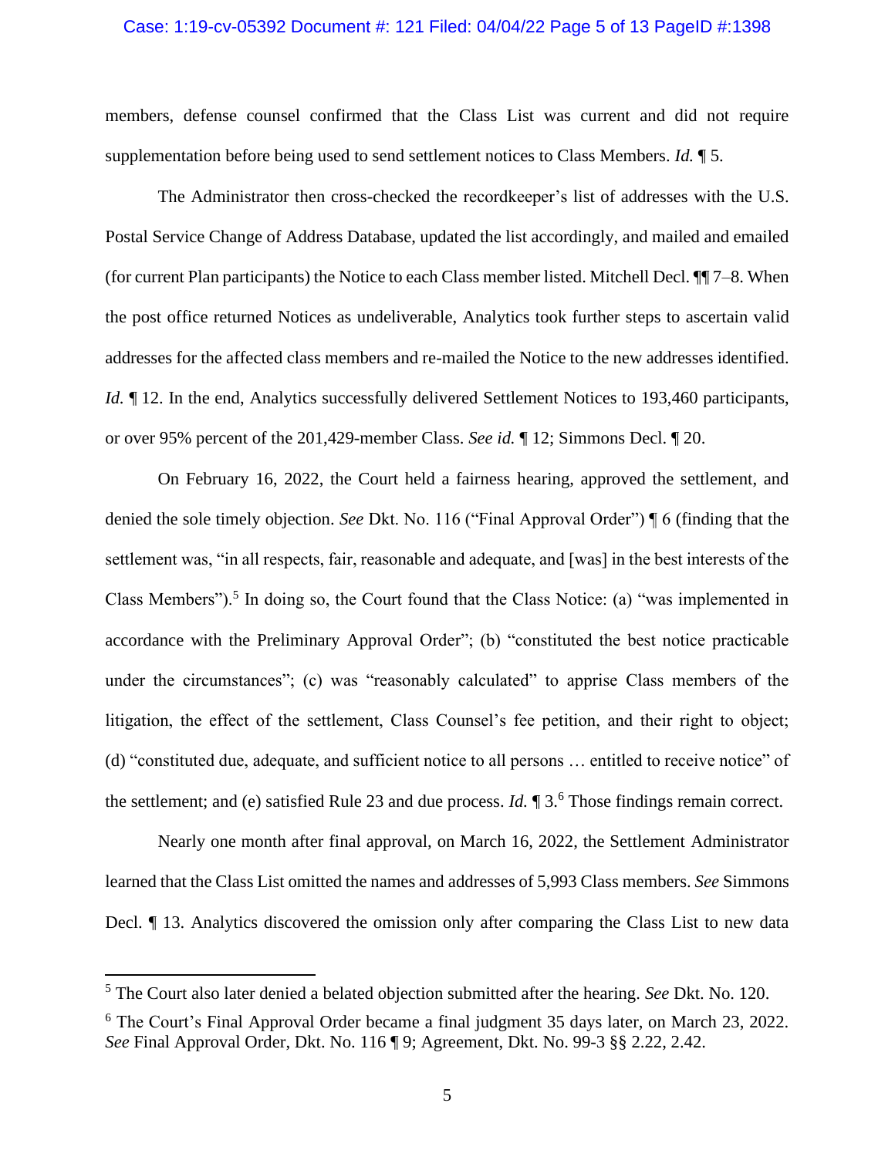### Case: 1:19-cv-05392 Document #: 121 Filed: 04/04/22 Page 5 of 13 PageID #:1398

members, defense counsel confirmed that the Class List was current and did not require supplementation before being used to send settlement notices to Class Members. *Id.* ¶ 5.

The Administrator then cross-checked the recordkeeper's list of addresses with the U.S. Postal Service Change of Address Database, updated the list accordingly, and mailed and emailed (for current Plan participants) the Notice to each Class member listed. Mitchell Decl. ¶¶ 7–8. When the post office returned Notices as undeliverable, Analytics took further steps to ascertain valid addresses for the affected class members and re-mailed the Notice to the new addresses identified. *Id.*  $\parallel$  12. In the end, Analytics successfully delivered Settlement Notices to 193,460 participants, or over 95% percent of the 201,429-member Class. *See id.* ¶ 12; Simmons Decl. ¶ 20.

On February 16, 2022, the Court held a fairness hearing, approved the settlement, and denied the sole timely objection. *See* Dkt. No. 116 ("Final Approval Order") ¶ 6 (finding that the settlement was, "in all respects, fair, reasonable and adequate, and [was] in the best interests of the Class Members").<sup>5</sup> In doing so, the Court found that the Class Notice: (a) "was implemented in accordance with the Preliminary Approval Order"; (b) "constituted the best notice practicable under the circumstances"; (c) was "reasonably calculated" to apprise Class members of the litigation, the effect of the settlement, Class Counsel's fee petition, and their right to object; (d) "constituted due, adequate, and sufficient notice to all persons … entitled to receive notice" of the settlement; and (e) satisfied Rule 23 and due process. *Id.*  $\mathbb{I}3$ .<sup>6</sup> Those findings remain correct.

Nearly one month after final approval, on March 16, 2022, the Settlement Administrator learned that the Class List omitted the names and addresses of 5,993 Class members. *See* Simmons Decl.  $\parallel$  13. Analytics discovered the omission only after comparing the Class List to new data

<sup>5</sup> The Court also later denied a belated objection submitted after the hearing. *See* Dkt. No. 120.

<sup>6</sup> The Court's Final Approval Order became a final judgment 35 days later, on March 23, 2022. *See* Final Approval Order, Dkt. No. 116 ¶ 9; Agreement, Dkt. No. 99-3 §§ 2.22, 2.42.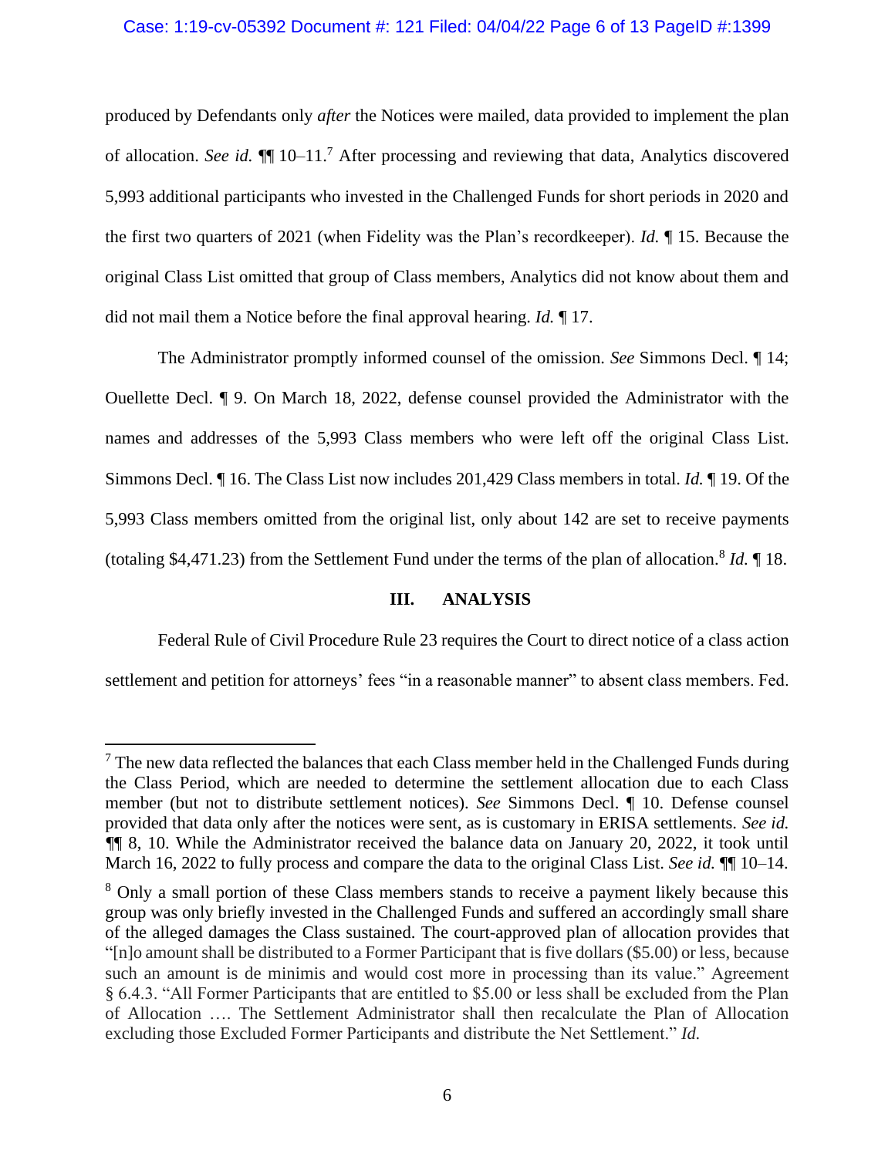### Case: 1:19-cv-05392 Document #: 121 Filed: 04/04/22 Page 6 of 13 PageID #:1399

produced by Defendants only *after* the Notices were mailed, data provided to implement the plan of allocation. *See id.* ¶¶ 10–11. <sup>7</sup> After processing and reviewing that data, Analytics discovered 5,993 additional participants who invested in the Challenged Funds for short periods in 2020 and the first two quarters of 2021 (when Fidelity was the Plan's recordkeeper). *Id.* ¶ 15. Because the original Class List omitted that group of Class members, Analytics did not know about them and did not mail them a Notice before the final approval hearing. *Id.* ¶ 17.

The Administrator promptly informed counsel of the omission. *See* Simmons Decl. ¶ 14; Ouellette Decl. ¶ 9. On March 18, 2022, defense counsel provided the Administrator with the names and addresses of the 5,993 Class members who were left off the original Class List. Simmons Decl. ¶ 16. The Class List now includes 201,429 Class members in total. *Id.* ¶ 19. Of the 5,993 Class members omitted from the original list, only about 142 are set to receive payments (totaling \$4,471.23) from the Settlement Fund under the terms of the plan of allocation.<sup>8</sup> *Id.* ¶ 18.

## **III. ANALYSIS**

Federal Rule of Civil Procedure Rule 23 requires the Court to direct notice of a class action settlement and petition for attorneys' fees "in a reasonable manner" to absent class members. Fed.

 $<sup>7</sup>$  The new data reflected the balances that each Class member held in the Challenged Funds during</sup> the Class Period, which are needed to determine the settlement allocation due to each Class member (but not to distribute settlement notices). *See* Simmons Decl. ¶ 10. Defense counsel provided that data only after the notices were sent, as is customary in ERISA settlements. *See id. ¶*¶ 8, 10. While the Administrator received the balance data on January 20, 2022, it took until March 16, 2022 to fully process and compare the data to the original Class List. *See id.*  $\P\P$  10–14.

<sup>&</sup>lt;sup>8</sup> Only a small portion of these Class members stands to receive a payment likely because this group was only briefly invested in the Challenged Funds and suffered an accordingly small share of the alleged damages the Class sustained. The court-approved plan of allocation provides that "[n]o amount shall be distributed to a Former Participant that is five dollars (\$5.00) or less, because such an amount is de minimis and would cost more in processing than its value." Agreement § 6.4.3. "All Former Participants that are entitled to \$5.00 or less shall be excluded from the Plan of Allocation …. The Settlement Administrator shall then recalculate the Plan of Allocation excluding those Excluded Former Participants and distribute the Net Settlement." *Id.*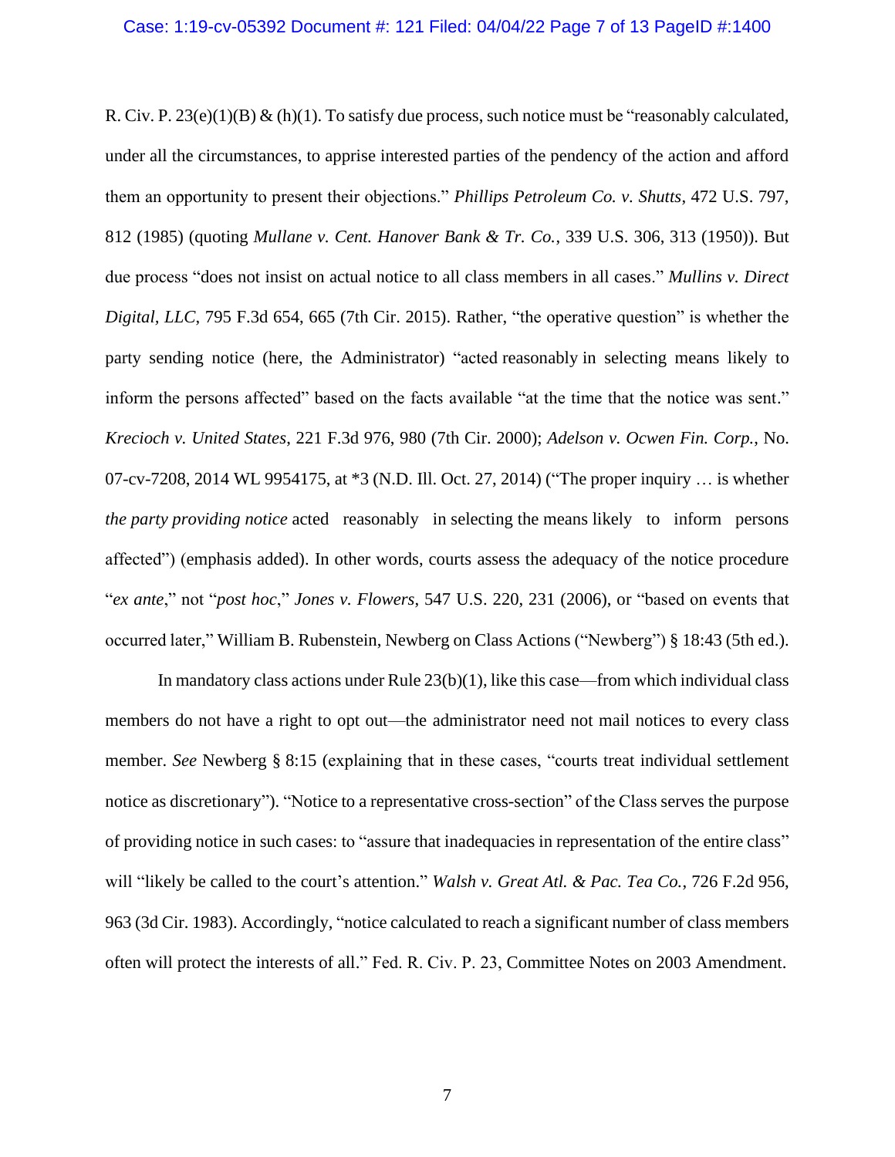R. Civ. P.  $23(e)(1)(B)$  & (h)(1). To satisfy due process, such notice must be "reasonably calculated, under all the circumstances, to apprise interested parties of the pendency of the action and afford them an opportunity to present their objections." *Phillips Petroleum Co. v. Shutts*, 472 U.S. 797, 812 (1985) (quoting *Mullane v. Cent. Hanover Bank & Tr. Co.*, 339 U.S. 306, 313 (1950)). But due process "does not insist on actual notice to all class members in all cases." *Mullins v. Direct Digital, LLC*, 795 F.3d 654, 665 (7th Cir. 2015). Rather, "the operative question" is whether the party sending notice (here, the Administrator) "acted reasonably in selecting means likely to inform the persons affected" based on the facts available "at the time that the notice was sent." *Krecioch v. United States*, 221 F.3d 976, 980 (7th Cir. 2000); *Adelson v. Ocwen Fin. Corp.*, No. 07-cv-7208, 2014 WL 9954175, at \*3 (N.D. Ill. Oct. 27, 2014) ("The proper inquiry … is whether *the party providing notice* acted reasonably in selecting the means likely to inform persons affected") (emphasis added). In other words, courts assess the adequacy of the notice procedure "*ex ante*," not "*post hoc*," *Jones v. Flowers*, 547 U.S. 220, 231 (2006), or "based on events that occurred later," William B. Rubenstein, Newberg on Class Actions ("Newberg") § 18:43 (5th ed.).

In mandatory class actions under Rule  $23(b)(1)$ , like this case—from which individual class members do not have a right to opt out—the administrator need not mail notices to every class member. *See* Newberg § 8:15 (explaining that in these cases, "courts treat individual settlement notice as discretionary"). "Notice to a representative cross-section" of the Class serves the purpose of providing notice in such cases: to "assure that inadequacies in representation of the entire class" will "likely be called to the court's attention." *Walsh v. Great Atl. & Pac. Tea Co.*, 726 F.2d 956, 963 (3d Cir. 1983). Accordingly, "notice calculated to reach a significant number of class members often will protect the interests of all." Fed. R. Civ. P. 23, Committee Notes on 2003 Amendment.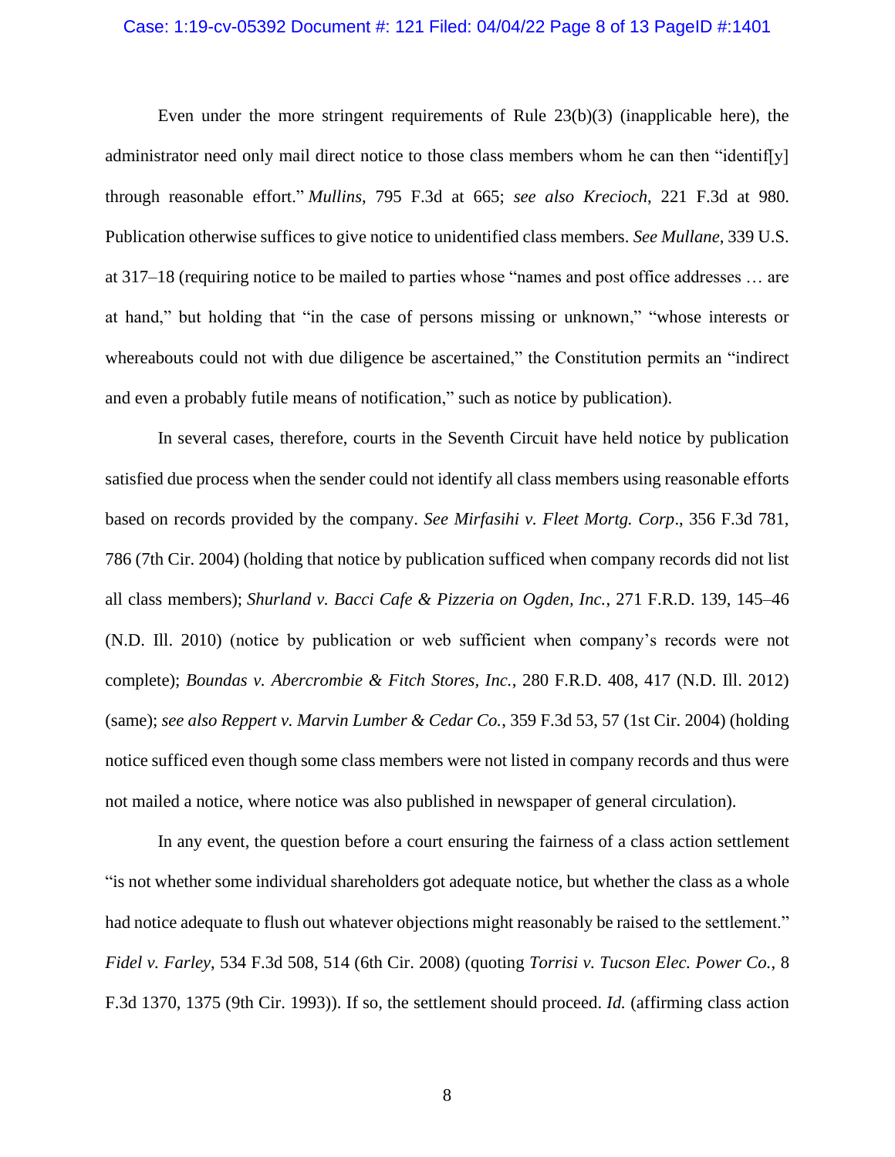### Case: 1:19-cv-05392 Document #: 121 Filed: 04/04/22 Page 8 of 13 PageID #:1401

Even under the more stringent requirements of Rule 23(b)(3) (inapplicable here), the administrator need only mail direct notice to those class members whom he can then "identif[y] through reasonable effort." *Mullins*, 795 F.3d at 665; *see also Krecioch*, 221 F.3d at 980. Publication otherwise suffices to give notice to unidentified class members. *See Mullane*, 339 U.S. at 317–18 (requiring notice to be mailed to parties whose "names and post office addresses … are at hand," but holding that "in the case of persons missing or unknown," "whose interests or whereabouts could not with due diligence be ascertained," the Constitution permits an "indirect and even a probably futile means of notification," such as notice by publication).

In several cases, therefore, courts in the Seventh Circuit have held notice by publication satisfied due process when the sender could not identify all class members using reasonable efforts based on records provided by the company. *See Mirfasihi v. Fleet Mortg. Corp*., 356 F.3d 781, 786 (7th Cir. 2004) (holding that notice by publication sufficed when company records did not list all class members); *Shurland v. Bacci Cafe & Pizzeria on Ogden, Inc.*, 271 F.R.D. 139, 145–46 (N.D. Ill. 2010) (notice by publication or web sufficient when company's records were not complete); *Boundas v. Abercrombie & Fitch Stores, Inc.*, 280 F.R.D. 408, 417 (N.D. Ill. 2012) (same); *see also Reppert v. Marvin Lumber & Cedar Co.*, 359 F.3d 53, 57 (1st Cir. 2004) (holding notice sufficed even though some class members were not listed in company records and thus were not mailed a notice, where notice was also published in newspaper of general circulation).

In any event, the question before a court ensuring the fairness of a class action settlement "is not whether some individual shareholders got adequate notice, but whether the class as a whole had notice adequate to flush out whatever objections might reasonably be raised to the settlement." *Fidel v. Farley*, 534 F.3d 508, 514 (6th Cir. 2008) (quoting *Torrisi v. Tucson Elec. Power Co.*, 8 F.3d 1370, 1375 (9th Cir. 1993)). If so, the settlement should proceed. *Id.* (affirming class action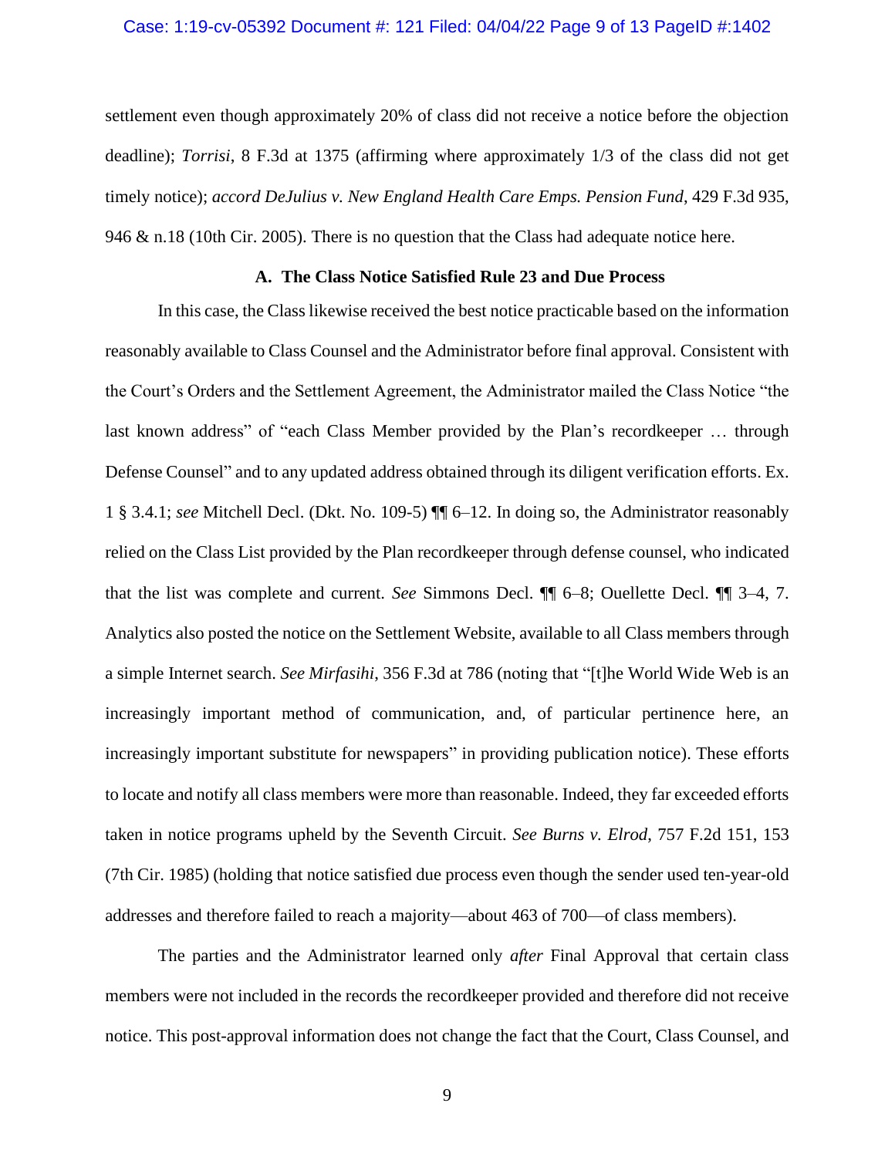### Case: 1:19-cv-05392 Document #: 121 Filed: 04/04/22 Page 9 of 13 PageID #:1402

settlement even though approximately 20% of class did not receive a notice before the objection deadline); *Torrisi*, 8 F.3d at 1375 (affirming where approximately 1/3 of the class did not get timely notice); *accord DeJulius v. New England Health Care Emps. Pension Fund*, 429 F.3d 935, 946 & n.18 (10th Cir. 2005). There is no question that the Class had adequate notice here.

## **A. The Class Notice Satisfied Rule 23 and Due Process**

In this case, the Class likewise received the best notice practicable based on the information reasonably available to Class Counsel and the Administrator before final approval. Consistent with the Court's Orders and the Settlement Agreement, the Administrator mailed the Class Notice "the last known address" of "each Class Member provided by the Plan's recordkeeper … through Defense Counsel" and to any updated address obtained through its diligent verification efforts. Ex. 1 § 3.4.1; *see* Mitchell Decl. (Dkt. No. 109-5) ¶¶ 6–12. In doing so, the Administrator reasonably relied on the Class List provided by the Plan recordkeeper through defense counsel, who indicated that the list was complete and current. *See* Simmons Decl. ¶¶ 6–8; Ouellette Decl. ¶¶ 3–4, 7. Analytics also posted the notice on the Settlement Website, available to all Class members through a simple Internet search. *See Mirfasihi*, 356 F.3d at 786 (noting that "[t]he World Wide Web is an increasingly important method of communication, and, of particular pertinence here, an increasingly important substitute for newspapers" in providing publication notice). These efforts to locate and notify all class members were more than reasonable. Indeed, they far exceeded efforts taken in notice programs upheld by the Seventh Circuit. *See Burns v. Elrod*, 757 F.2d 151, 153 (7th Cir. 1985) (holding that notice satisfied due process even though the sender used ten-year-old addresses and therefore failed to reach a majority—about 463 of 700—of class members).

The parties and the Administrator learned only *after* Final Approval that certain class members were not included in the records the recordkeeper provided and therefore did not receive notice. This post-approval information does not change the fact that the Court, Class Counsel, and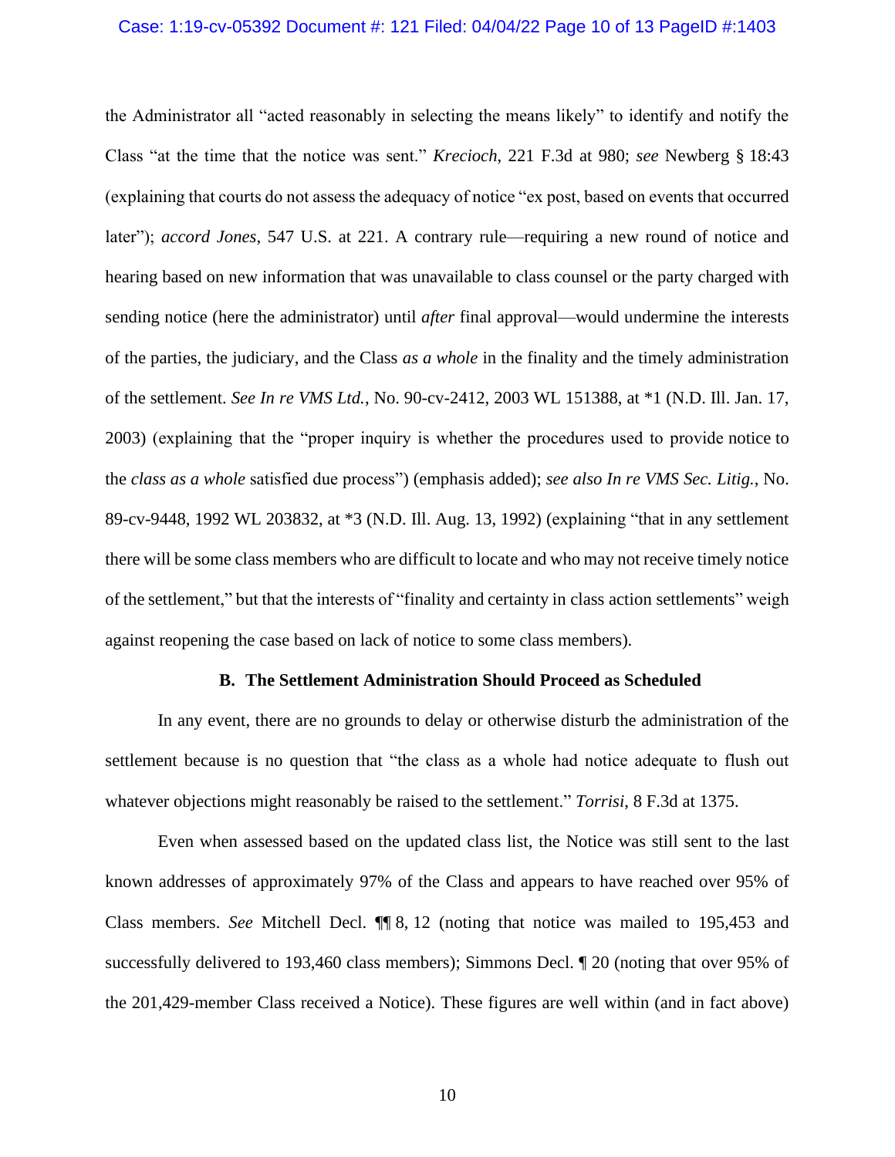### Case: 1:19-cv-05392 Document #: 121 Filed: 04/04/22 Page 10 of 13 PageID #:1403

the Administrator all "acted reasonably in selecting the means likely" to identify and notify the Class "at the time that the notice was sent." *Krecioch*, 221 F.3d at 980; *see* Newberg § 18:43 (explaining that courts do not assess the adequacy of notice "ex post, based on events that occurred later"); *accord Jones*, 547 U.S. at 221. A contrary rule—requiring a new round of notice and hearing based on new information that was unavailable to class counsel or the party charged with sending notice (here the administrator) until *after* final approval—would undermine the interests of the parties, the judiciary, and the Class *as a whole* in the finality and the timely administration of the settlement. *See In re VMS Ltd.*, No. 90-cv-2412, 2003 WL 151388, at \*1 (N.D. Ill. Jan. 17, 2003) (explaining that the "proper inquiry is whether the procedures used to provide notice to the *class as a whole* satisfied due process") (emphasis added); *see also In re VMS Sec. Litig.*, No. 89-cv-9448, 1992 WL 203832, at \*3 (N.D. Ill. Aug. 13, 1992) (explaining "that in any settlement there will be some class members who are difficult to locate and who may not receive timely notice of the settlement," but that the interests of "finality and certainty in class action settlements" weigh against reopening the case based on lack of notice to some class members).

#### **B. The Settlement Administration Should Proceed as Scheduled**

In any event, there are no grounds to delay or otherwise disturb the administration of the settlement because is no question that "the class as a whole had notice adequate to flush out whatever objections might reasonably be raised to the settlement." *Torrisi*, 8 F.3d at 1375.

Even when assessed based on the updated class list, the Notice was still sent to the last known addresses of approximately 97% of the Class and appears to have reached over 95% of Class members. *See* Mitchell Decl. ¶¶ 8, 12 (noting that notice was mailed to 195,453 and successfully delivered to 193,460 class members); Simmons Decl. ¶ 20 (noting that over 95% of the 201,429-member Class received a Notice). These figures are well within (and in fact above)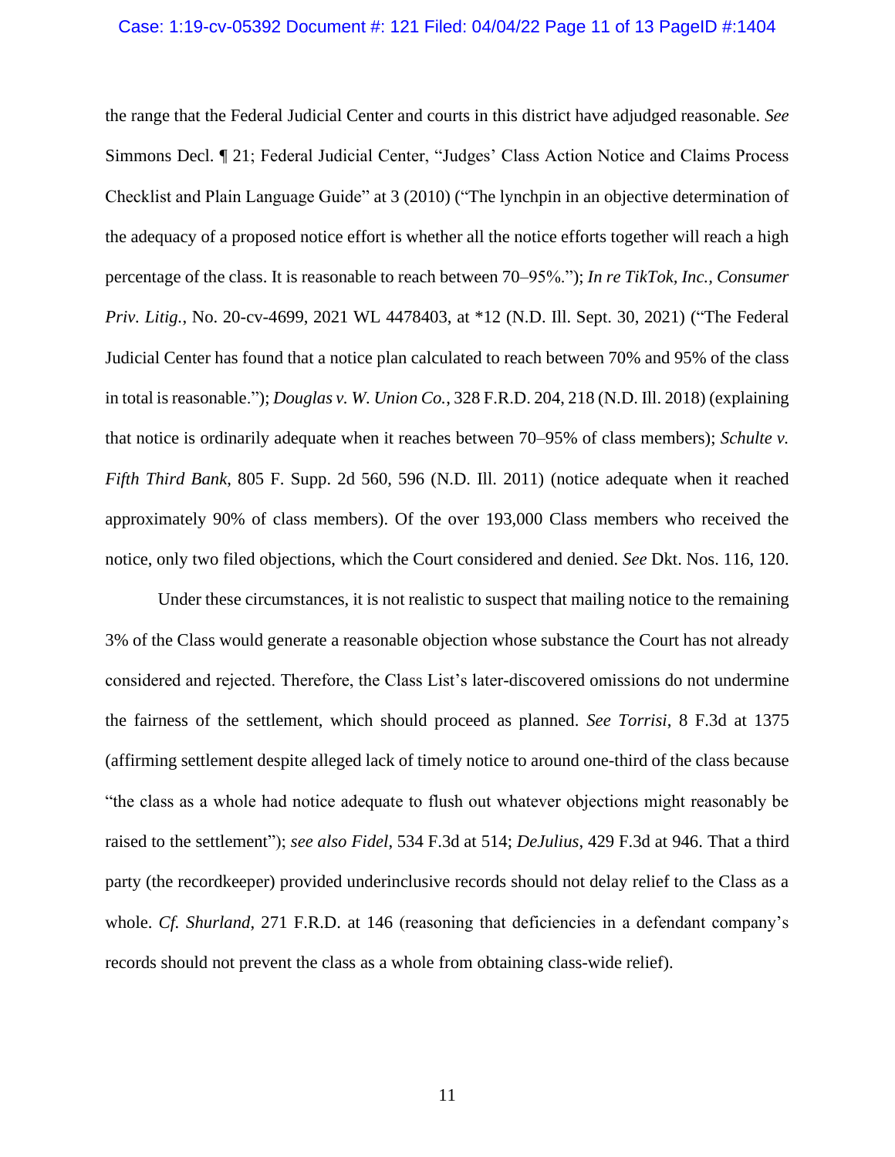### Case: 1:19-cv-05392 Document #: 121 Filed: 04/04/22 Page 11 of 13 PageID #:1404

the range that the Federal Judicial Center and courts in this district have adjudged reasonable. *See*  Simmons Decl. ¶ 21; Federal Judicial Center, "Judges' Class Action Notice and Claims Process Checklist and Plain Language Guide" at 3 (2010) ("The lynchpin in an objective determination of the adequacy of a proposed notice effort is whether all the notice efforts together will reach a high percentage of the class. It is reasonable to reach between 70–95%."); *In re TikTok, Inc., Consumer Priv. Litig.*, No. 20-cv-4699, 2021 WL 4478403, at \*12 (N.D. Ill. Sept. 30, 2021) ("The Federal Judicial Center has found that a notice plan calculated to reach between 70% and 95% of the class in total is reasonable."); *Douglas v. W. Union Co.*, 328 F.R.D. 204, 218 (N.D. Ill. 2018) (explaining that notice is ordinarily adequate when it reaches between 70–95% of class members); *Schulte v. Fifth Third Bank*, 805 F. Supp. 2d 560, 596 (N.D. Ill. 2011) (notice adequate when it reached approximately 90% of class members). Of the over 193,000 Class members who received the notice, only two filed objections, which the Court considered and denied. *See* Dkt. Nos. 116, 120.

Under these circumstances, it is not realistic to suspect that mailing notice to the remaining 3% of the Class would generate a reasonable objection whose substance the Court has not already considered and rejected. Therefore, the Class List's later-discovered omissions do not undermine the fairness of the settlement, which should proceed as planned. *See Torrisi*, 8 F.3d at 1375 (affirming settlement despite alleged lack of timely notice to around one-third of the class because "the class as a whole had notice adequate to flush out whatever objections might reasonably be raised to the settlement"); *see also Fidel*, 534 F.3d at 514; *DeJulius*, 429 F.3d at 946. That a third party (the recordkeeper) provided underinclusive records should not delay relief to the Class as a whole. *Cf. Shurland*, 271 F.R.D. at 146 (reasoning that deficiencies in a defendant company's records should not prevent the class as a whole from obtaining class-wide relief).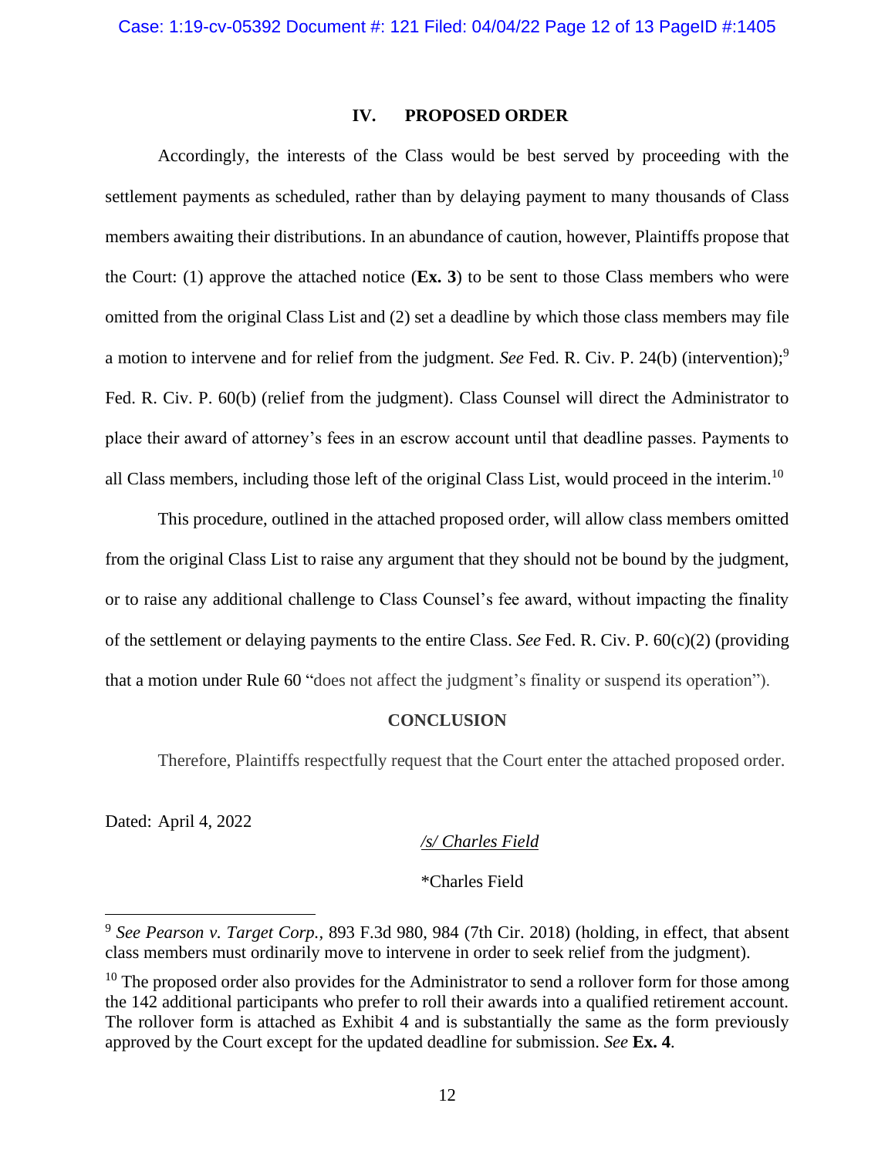## **IV. PROPOSED ORDER**

Accordingly, the interests of the Class would be best served by proceeding with the settlement payments as scheduled, rather than by delaying payment to many thousands of Class members awaiting their distributions. In an abundance of caution, however, Plaintiffs propose that the Court: (1) approve the attached notice (**Ex. 3**) to be sent to those Class members who were omitted from the original Class List and (2) set a deadline by which those class members may file a motion to intervene and for relief from the judgment. *See* Fed. R. Civ. P. 24(b) (intervention);<sup>9</sup> Fed. R. Civ. P. 60(b) (relief from the judgment). Class Counsel will direct the Administrator to place their award of attorney's fees in an escrow account until that deadline passes. Payments to all Class members, including those left of the original Class List, would proceed in the interim.<sup>10</sup>

This procedure, outlined in the attached proposed order, will allow class members omitted from the original Class List to raise any argument that they should not be bound by the judgment, or to raise any additional challenge to Class Counsel's fee award, without impacting the finality of the settlement or delaying payments to the entire Class. *See* Fed. R. Civ. P. 60(c)(2) (providing that a motion under Rule 60 "does not affect the judgment's finality or suspend its operation").

#### **CONCLUSION**

Therefore, Plaintiffs respectfully request that the Court enter the attached proposed order.

Dated: April 4, 2022

## */s/ Charles Field*

\*Charles Field

<sup>&</sup>lt;sup>9</sup> See Pearson v. Target Corp., 893 F.3d 980, 984 (7th Cir. 2018) (holding, in effect, that absent class members must ordinarily move to intervene in order to seek relief from the judgment).

 $10$  The proposed order also provides for the Administrator to send a rollover form for those among the 142 additional participants who prefer to roll their awards into a qualified retirement account. The rollover form is attached as Exhibit 4 and is substantially the same as the form previously approved by the Court except for the updated deadline for submission. *See* **Ex. 4**.